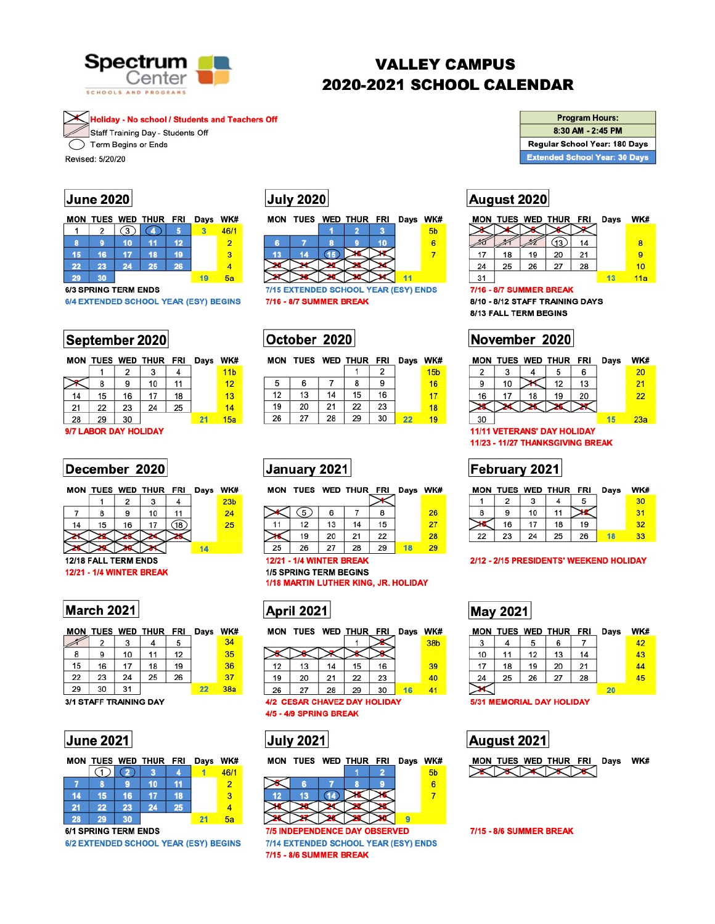

# **VALLEY CAMPUS** 2020-2021 SCHOOL CALENDAR

Holiday - No school / Students and Teachers Off Staff Training Day - Students Off Term Begins or Ends

Revised: 5/20/20

### **June 2020**

|  | MON TUES WED THUR FRI Days WK# |  |      |
|--|--------------------------------|--|------|
|  | $12$ (3) (4) 5                 |  | 46/1 |
|  |                                |  |      |

|  |     | - 15     |    |    |
|--|-----|----------|----|----|
|  |     |          |    |    |
|  | -26 | 23 24 25 |    | 22 |
|  |     |          | 30 | 29 |

#### **6/3 SPRING TERM ENDS**

| 6/4 EXTENDED SCHOOL YEAR (ESY) BEGINS |  |  |  |  |
|---------------------------------------|--|--|--|--|
|---------------------------------------|--|--|--|--|

## September 2020

| MON |    |    | TUES WED THUR FRI |    | Days | <b>WK</b>       |
|-----|----|----|-------------------|----|------|-----------------|
|     |    | 2  |                   |    |      | 11 <sub>b</sub> |
|     | 8  | 9  | 10                | 11 |      | 12              |
| 14  | 15 | 16 | 17                | 18 |      | 13              |
| 21  | 22 | 23 | 24                | 25 |      | 14              |
| 28  | 29 | 30 |                   |    | 21   | 15a             |
|     |    |    |                   |    |      |                 |

9/7 LABOR DAY HOLIDAY

## December 2020

|  |   | MON TUES WED THUR FRI Days WK# |  |                 |
|--|---|--------------------------------|--|-----------------|
|  |   |                                |  | 23 <sub>b</sub> |
|  | Q | 10                             |  |                 |
|  |   |                                |  |                 |

# **July 2020**

|   | MON TUES WED THUR FRI |  | Days WK |    |
|---|-----------------------|--|---------|----|
|   |                       |  |         | 5b |
| R |                       |  |         |    |
|   |                       |  |         |    |
|   |                       |  |         |    |

7/15 EXTENDED SCHOOL YEAR (ESY) ENDS 7/16 - 8/7 SUMMER BREAK

 $X$   $X$   $X$   $X$ 

# October 2020

MON TUES WED THUR FRI Days WK#

|    |    |    | 2  |                   | 15 <sub>b</sub> |
|----|----|----|----|-------------------|-----------------|
| 6  |    | 8  | 9  |                   | 16              |
| 13 | 14 | 15 | 16 |                   | 17              |
| 20 | 21 | 22 | 23 |                   | 18              |
| 27 | 28 | 29 | 30 | $22 \overline{ }$ | 19              |
|    |    |    |    |                   |                 |

# January 2021

MON TUES WED THUR FRI Days WK#

| .  |     | .  |    | -- | wayə | ,,,,, |
|----|-----|----|----|----|------|-------|
|    | (5) | 6  |    | 8  |      | 26    |
| 11 | 12  | 13 | 14 | 15 |      | 27    |
|    | 19  | 20 | 21 | 22 |      | 28    |
| 25 | 26  | 27 | 28 | 29 |      |       |

| <b>Program Hours:</b>                |
|--------------------------------------|
| 8:30 AM - 2:45 PM                    |
| Regular School Year: 180 Days        |
| <b>Extended School Year: 30 Days</b> |

## August 2020

|    | MON TUES WED THUR FRI |    |    |    | Days | WK# |
|----|-----------------------|----|----|----|------|-----|
|    |                       |    |    |    |      |     |
|    |                       |    |    | 14 |      | 8   |
| 17 | 18                    | 19 | 20 | 21 |      |     |
| 24 | 25                    | 26 | 27 | 28 |      | 10  |
| 31 |                       |    |    |    |      | 11a |

7/16 - 8/7 SUMMER BREAK

8/10 - 8/12 STAFF TRAINING DAYS 8/13 FALL TERM BEGINS

# November 2020

| MON |    |    | TUES WED THUR FRI |    | Days | WK# |
|-----|----|----|-------------------|----|------|-----|
| 2   |    |    | 5                 | 6  |      | 20  |
| 9   | 10 |    | 12                | 13 |      | 21  |
| 16  | 17 | 18 | 19                | 20 |      | 22  |
|     |    |    |                   |    |      |     |
| 30  |    |    |                   |    |      | 23a |

**11/11 VETERANS' DAY HOLIDAY** 11/23 - 11/27 THANKSGIVING BREAK

# February 2021

| MON TUES WED THUR FRI |    |  | Days | WK# |
|-----------------------|----|--|------|-----|
|                       |    |  |      |     |
|                       | 10 |  |      |     |
|                       |    |  |      |     |



### **March 2021**

|    |    |    | MON TUES WED THUR FRI |    | Days | WK. |
|----|----|----|-----------------------|----|------|-----|
|    | 2  | 3  |                       | 5  |      | 34  |
| 8  | 9  | 10 | 11                    | 12 |      | 35  |
| 15 | 16 | 17 | 18                    | 19 |      | 36  |
| 22 | 23 | 24 | 25                    | 26 |      | 37  |
| 29 | 30 | 31 |                       |    | 22   | 38a |

**<sup>3/1</sup> STAFF TRAINING DAY** 



|                      |    |           | MON TUES WED THUR FRI |    | Days WK# |                |
|----------------------|----|-----------|-----------------------|----|----------|----------------|
|                      |    | $\bullet$ |                       |    |          | 46/1           |
|                      | 8  | 9         | 10                    | 11 |          | $\overline{2}$ |
| 14                   | 15 | 16        |                       | 18 |          | 3              |
| 21                   | 22 | 23        | 24                    | 25 |          |                |
| 28                   | 29 | 30        |                       |    | 21       | 5a             |
| 6/1 SPRING TERM ENDS |    |           |                       |    |          |                |

6/2 EXTENDED SCHOOL YEAR (ESY) BEGINS

### **12/21 - 1/4 WINTER BREAK 1/5 SPRING TERM BEGINS**

1/18 MARTIN LUTHER KING, JR. HOLIDAY



|    |    |    |    | WK#                       |
|----|----|----|----|---------------------------|
|    |    |    |    | 38b                       |
|    |    |    |    |                           |
| 13 | 14 | 15 | 16 | 39                        |
| 20 | 21 | 22 | 23 | 40                        |
| 27 | 28 | 29 | 30 | 41                        |
|    |    |    |    | TUES WED THUR FRI<br>Days |

4/2 CESAR CHAVEZ DAY HOLIDAY 4/5 - 4/9 SPRING BREAK



|                                      | MON TUES WED THUR FRI |    |  |  | Days WK# |                |
|--------------------------------------|-----------------------|----|--|--|----------|----------------|
|                                      |                       |    |  |  |          | 5 <sub>b</sub> |
|                                      |                       |    |  |  |          | 6              |
| 12                                   | 13                    | 14 |  |  |          |                |
|                                      |                       |    |  |  |          |                |
|                                      |                       |    |  |  |          |                |
| <b>7/5 INDEPENDENCE DAY OBSERVED</b> |                       |    |  |  |          |                |

7/14 EXTENDED SCHOOL YEAR (ESY) ENDS 7/15 - 8/6 SUMMER BREAK

|  |  | 22 23 24 25 26 18 33 |  |
|--|--|----------------------|--|

#### 2/12 - 2/15 PRESIDENTS' WEEKEND HOLIDAY

# **May 2021**

| MON |    |    | TUES WED THUR FRI |    | Days | WK# |
|-----|----|----|-------------------|----|------|-----|
| 3   |    | 5  | 6                 |    |      | 42  |
| 10  | 11 | 12 | 13                | 14 |      | 43  |
| 17  | 18 | 19 | 20                | 21 |      | 44  |
| 24  | 25 | 26 | 27                | 28 |      | 45  |
|     |    |    |                   |    | 20   |     |

#### **SIST MEMORIAL DAT HOLIDAT**

# August 2021

|  |                       | MON TUES WED THUR FRI Days WK# |  |
|--|-----------------------|--------------------------------|--|
|  | $\chi \chi \chi \chi$ |                                |  |

7/15 - 8/6 SUMMER BREAK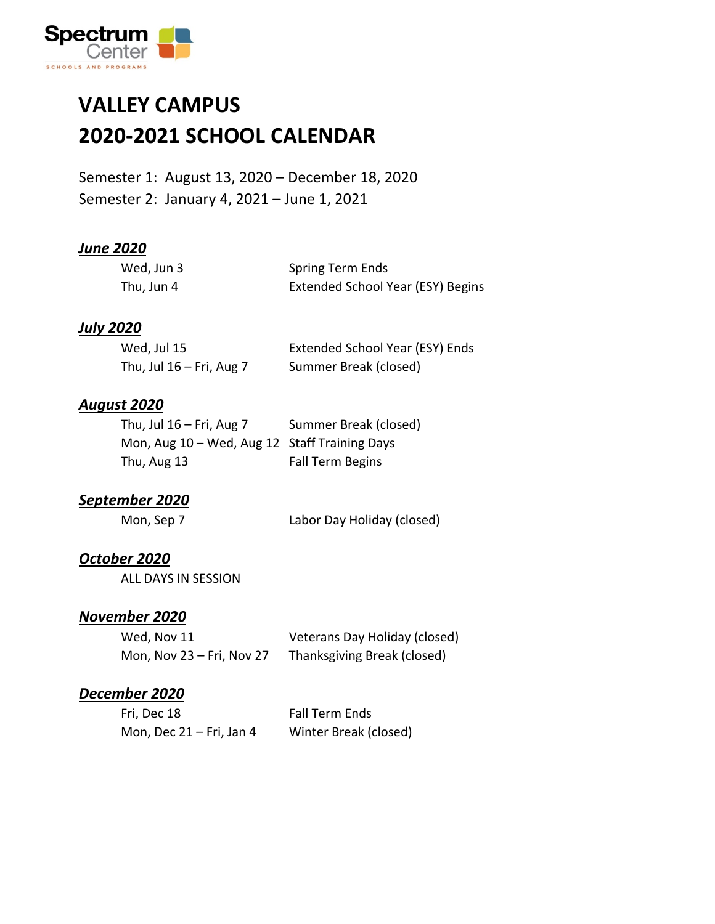

### **VALLEY CAMPUS 2020-2021 SCHOOL CALENDAR**

Semester 1: August 13, 2020 – December 18, 2020 Semester 2: January 4, 2021 – June 1, 2021

#### *June 2020*

| Wed, Jun 3 | Spring Term Ends                  |
|------------|-----------------------------------|
| Thu, Jun 4 | Extended School Year (ESY) Begins |

#### *July 2020*

| Wed, Jul 15                | Extended School Year (ESY) Ends |
|----------------------------|---------------------------------|
| Thu, Jul $16$ – Fri, Aug 7 | Summer Break (closed)           |

#### *August 2020*

| Thu, Jul $16$ – Fri, Aug 7                    | Summer Break (closed)   |
|-----------------------------------------------|-------------------------|
| Mon, Aug 10 - Wed, Aug 12 Staff Training Days |                         |
| Thu, Aug 13                                   | <b>Fall Term Begins</b> |

#### *September 2020*

Mon, Sep 7 Labor Day Holiday (closed)

#### *October 2020*

ALL DAYS IN SESSION

#### *November 2020*

| Wed, Nov 11               | Veterans Day Holiday (closed) |
|---------------------------|-------------------------------|
| Mon, Nov 23 - Fri, Nov 27 | Thanksgiving Break (closed)   |

#### *December 2020*

| Fri, Dec 18                | <b>Fall Term Ends</b> |
|----------------------------|-----------------------|
| Mon, Dec $21$ – Fri, Jan 4 | Winter Break (closed) |